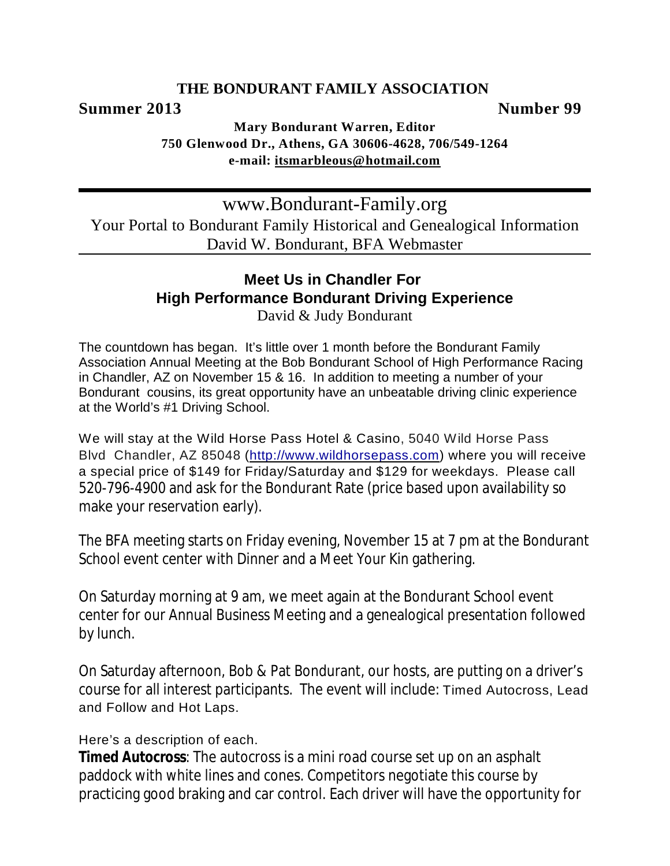### **THE BONDURANT FAMILY ASSOCIATION**

### **Summer 2013** Number 99

**Mary Bondurant Warren, Editor 750 Glenwood Dr., Athens, GA 30606-4628, 706/549-1264 e-mail: [itsmarbleous@hotmail.com](mailto:itsmarbleous@hotmail.com)**

www.Bondurant-Family.org Your Portal to Bondurant Family Historical and Genealogical Information David W. Bondurant, BFA Webmaster

# **Meet Us in Chandler For High Performance Bondurant Driving Experience**

David & Judy Bondurant

The countdown has began. It's little over 1 month before the Bondurant Family Association Annual Meeting at the Bob Bondurant School of High Performance Racing in Chandler, AZ on November 15 & 16. In addition to meeting a number of your Bondurant cousins, its great opportunity have an unbeatable driving clinic experience at the World's #1 Driving School.

We will stay at the Wild Horse Pass Hotel & Casino, 5040 Wild Horse Pass Blvd Chandler, AZ 85048 (<http://www.wildhorsepass.com>) where you will receive a special price of \$149 for Friday/Saturday and \$129 for weekdays. Please call 520-796-4900 and ask for the Bondurant Rate (price based upon availability so make your reservation early).

The BFA meeting starts on Friday evening, November 15 at 7 pm at the Bondurant School event center with Dinner and a Meet Your Kin gathering.

On Saturday morning at 9 am, we meet again at the Bondurant School event center for our Annual Business Meeting and a genealogical presentation followed by lunch.

On Saturday afternoon, Bob & Pat Bondurant, our hosts, are putting on a driver's course for all interest participants. The event will include: Timed Autocross, Lead and Follow and Hot Laps.

Here's a description of each.

**Timed Autocross**: The autocross is a mini road course set up on an asphalt paddock with white lines and cones. Competitors negotiate this course by practicing good braking and car control. Each driver will have the opportunity for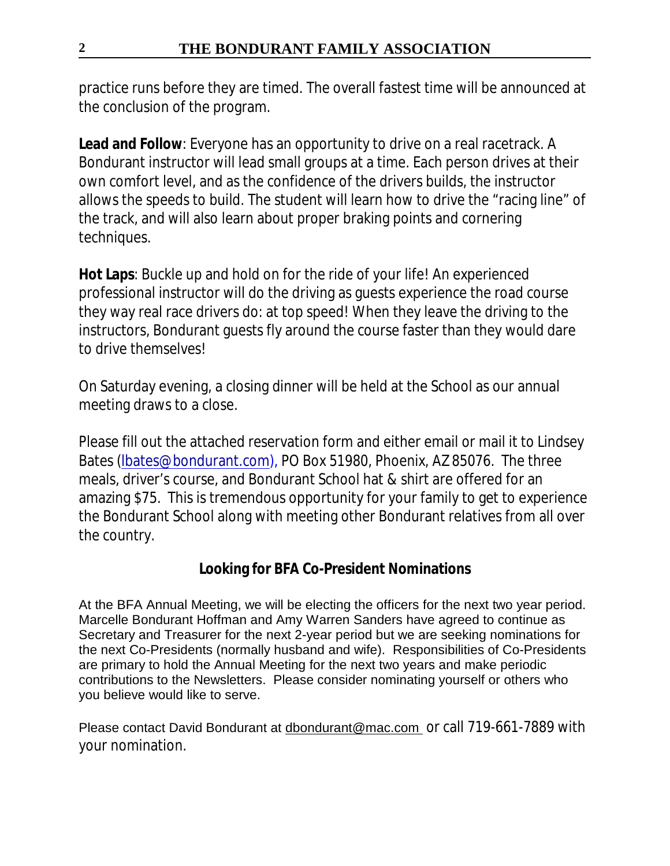practice runs before they are timed. The overall fastest time will be announced at the conclusion of the program.

**Lead and Follow**: Everyone has an opportunity to drive on a real racetrack. A Bondurant instructor will lead small groups at a time. Each person drives at their own comfort level, and as the confidence of the drivers builds, the instructor allows the speeds to build. The student will learn how to drive the "racing line" of the track, and will also learn about proper braking points and cornering techniques.

**Hot Laps**: Buckle up and hold on for the ride of your life! An experienced professional instructor will do the driving as guests experience the road course they way real race drivers do: at top speed! When they leave the driving to the instructors, Bondurant guests fly around the course faster than they would dare to drive themselves!

On Saturday evening, a closing dinner will be held at the School as our annual meeting draws to a close.

Please fill out the attached reservation form and either email or mail it to Lindsey Bates [\(lbates@bondurant.com](mailto:lbates@bondurant.com)), PO Box 51980, Phoenix, AZ 85076. The three meals, driver's course, and Bondurant School hat & shirt are offered for an amazing \$75. This is tremendous opportunity for your family to get to experience the Bondurant School along with meeting other Bondurant relatives from all over the country.

**Looking for BFA Co-President Nominations**

At the BFA Annual Meeting, we will be electing the officers for the next two year period. Marcelle Bondurant Hoffman and Amy Warren Sanders have agreed to continue as Secretary and Treasurer for the next 2-year period but we are seeking nominations for the next Co-Presidents (normally husband and wife). Responsibilities of Co-Presidents are primary to hold the Annual Meeting for the next two years and make periodic contributions to the Newsletters. Please consider nominating yourself or others who you believe would like to serve.

Please contact David Bondurant at [dbondurant@mac.com](mailto:dbondurant@mac.com) or call 719-661-7889 with your nomination.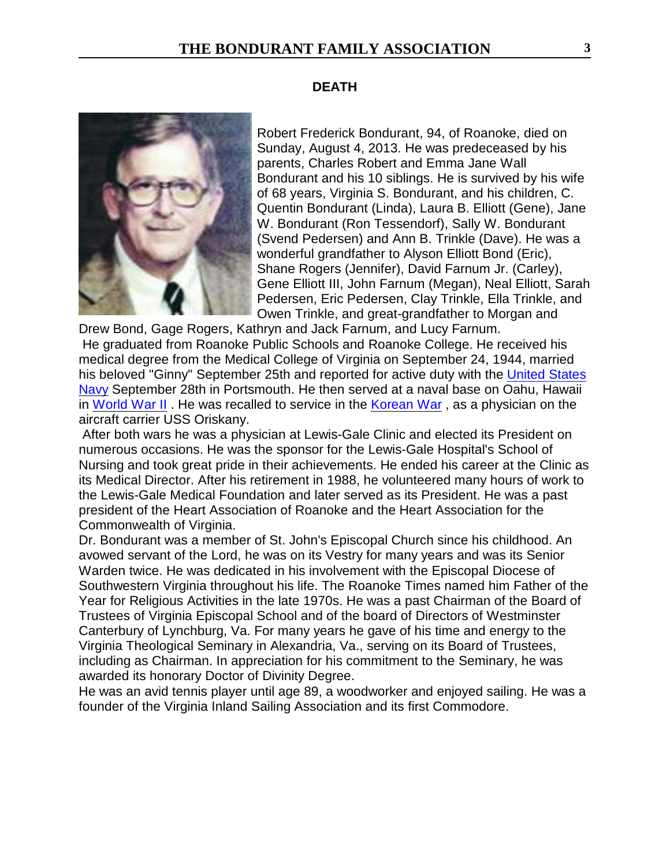### **DEATH**

Robert Frederick Bondurant, 94, of Roanoke, died on Sunday, August 4, 2013. He was predeceased by his parents, Charles Robert and Emma Jane Wall Bondurant and his 10 siblings. He is survived by his wife of 68 years, Virginia S. Bondurant, and his children, C. Quentin Bondurant (Linda), Laura B. Elliott (Gene), Jane W. Bondurant (Ron Tessendorf), Sally W. Bondurant (Svend Pedersen) and Ann B. Trinkle (Dave). He was a wonderful grandfather to Alyson Elliott Bond (Eric), Shane Rogers (Jennifer), David Farnum Jr. (Carley), Gene Elliott III, John Farnum (Megan), Neal Elliott, Sarah Pedersen, Eric Pedersen, Clay Trinkle, Ella Trinkle, and Owen Trinkle, and great-grandfather to Morgan and

Drew Bond, Gage Rogers, Kathryn and Jack Farnum, and Lucy Farnum. He graduated from Roanoke Public Schools and Roanoke College. He received his medical degree from the Medical College of Virginia on September 24, 1944, married his beloved "Ginny" September 25th and reported for active duty with the [United States](http://www.legacy.com/memorial-sites/navy/?personid=166296545&affiliateID=1745) [Navy](http://www.legacy.com/memorial-sites/navy/?personid=166296545&affiliateID=1745) September 28th in Portsmouth. He then served at a naval base on Oahu, Hawaii in [World War II](http://www.legacy.com/memorial-sites/ww2/?personid=166296545&affiliateID=1745) . He was recalled to service in the [Korean War](http://www.legacy.com/memorial-sites/korean-war/?personid=166296545&affiliateID=1745) , as a physician on the aircraft carrier USS Oriskany.

 After both wars he was a physician at Lewis-Gale Clinic and elected its President on numerous occasions. He was the sponsor for the Lewis-Gale Hospital's School of Nursing and took great pride in their achievements. He ended his career at the Clinic as its Medical Director. After his retirement in 1988, he volunteered many hours of work to the Lewis-Gale Medical Foundation and later served as its President. He was a past president of the Heart Association of Roanoke and the Heart Association for the Commonwealth of Virginia.

Dr. Bondurant was a member of St. John's Episcopal Church since his childhood. An avowed servant of the Lord, he was on its Vestry for many years and was its Senior Warden twice. He was dedicated in his involvement with the Episcopal Diocese of Southwestern Virginia throughout his life. The Roanoke Times named him Father of the Year for Religious Activities in the late 1970s. He was a past Chairman of the Board of Trustees of Virginia Episcopal School and of the board of Directors of Westminster Canterbury of Lynchburg, Va. For many years he gave of his time and energy to the Virginia Theological Seminary in Alexandria, Va., serving on its Board of Trustees, including as Chairman. In appreciation for his commitment to the Seminary, he was awarded its honorary Doctor of Divinity Degree.

He was an avid tennis player until age 89, a woodworker and enjoyed sailing. He was a founder of the Virginia Inland Sailing Association and its first Commodore.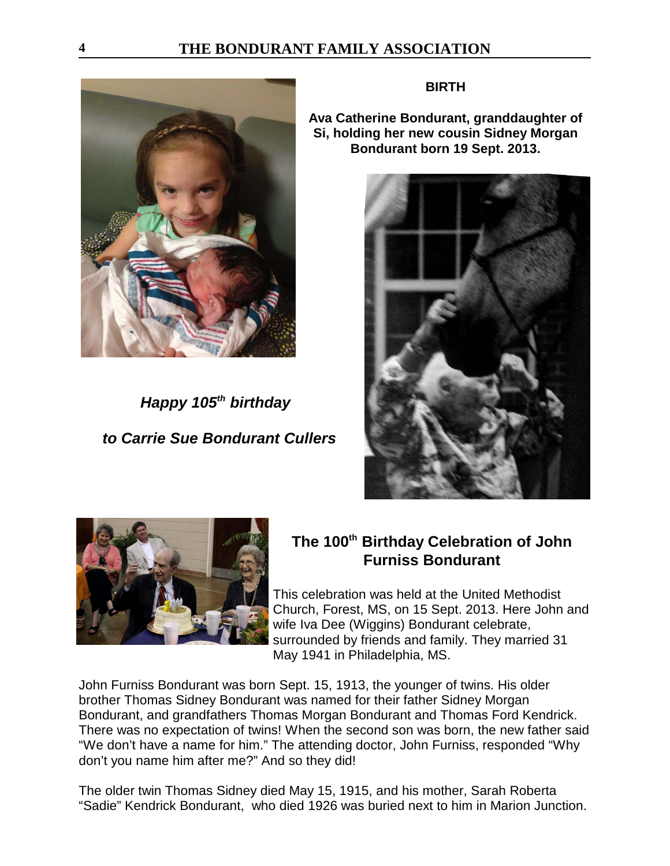

*Happy 105<sup>th</sup> birthday to Carrie Sue Bondurant Cullers*

### **BIRTH**

**Ava Catherine Bondurant, granddaughter of Si, holding her new cousin Sidney Morgan Bondurant born 19 Sept. 2013.**





# **The 100<sup>th</sup> Birthday Celebration of John Furniss Bondurant**

This celebration was held at the United Methodist Church, Forest, MS, on 15 Sept. 2013. Here John and wife Iva Dee (Wiggins) Bondurant celebrate, surrounded by friends and family. They married 31 May 1941 in Philadelphia, MS.

John Furniss Bondurant was born Sept. 15, 1913, the younger of twins. His older brother Thomas Sidney Bondurant was named for their father Sidney Morgan Bondurant, and grandfathers Thomas Morgan Bondurant and Thomas Ford Kendrick. There was no expectation of twins! When the second son was born, the new father said "We don't have a name for him." The attending doctor, John Furniss, responded "Why don't you name him after me?" And so they did!

The older twin Thomas Sidney died May 15, 1915, and his mother, Sarah Roberta "Sadie" Kendrick Bondurant, who died 1926 was buried next to him in Marion Junction.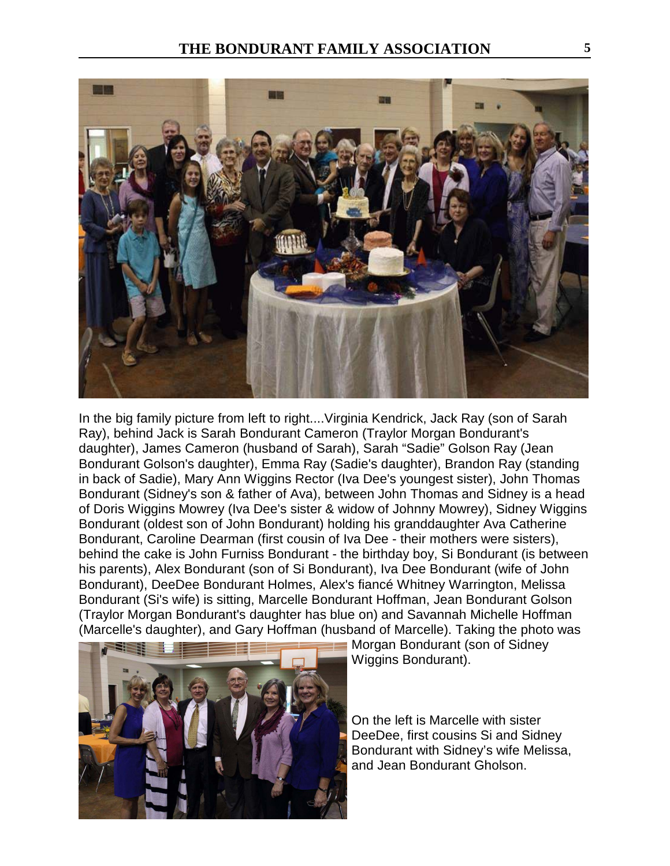

In the big family picture from left to right....Virginia Kendrick, Jack Ray (son of Sarah Ray), behind Jack is Sarah Bondurant Cameron (Traylor Morgan Bondurant's daughter), James Cameron (husband of Sarah), Sarah "Sadie" Golson Ray (Jean Bondurant Golson's daughter), Emma Ray (Sadie's daughter), Brandon Ray (standing in back of Sadie), Mary Ann Wiggins Rector (Iva Dee's youngest sister), John Thomas Bondurant (Sidney's son & father of Ava), between John Thomas and Sidney is a head of Doris Wiggins Mowrey (Iva Dee's sister & widow of Johnny Mowrey), Sidney Wiggins Bondurant (oldest son of John Bondurant) holding his granddaughter Ava Catherine Bondurant, Caroline Dearman (first cousin of Iva Dee - their mothers were sisters), behind the cake is John Furniss Bondurant - the birthday boy, Si Bondurant (is between his parents), Alex Bondurant (son of Si Bondurant), Iva Dee Bondurant (wife of John Bondurant), DeeDee Bondurant Holmes, Alex's fiancé Whitney Warrington, Melissa Bondurant (Si's wife) is sitting, Marcelle Bondurant Hoffman, Jean Bondurant Golson (Traylor Morgan Bondurant's daughter has blue on) and Savannah Michelle Hoffman (Marcelle's daughter), and Gary Hoffman (husband of Marcelle). Taking the photo was



**Morgan Bondurant (son of Sidney** Wiggins Bondurant).

On the left is Marcelle with sister DeeDee, first cousins Si and Sidney Bondurant with Sidney's wife Melissa, and Jean Bondurant Gholson.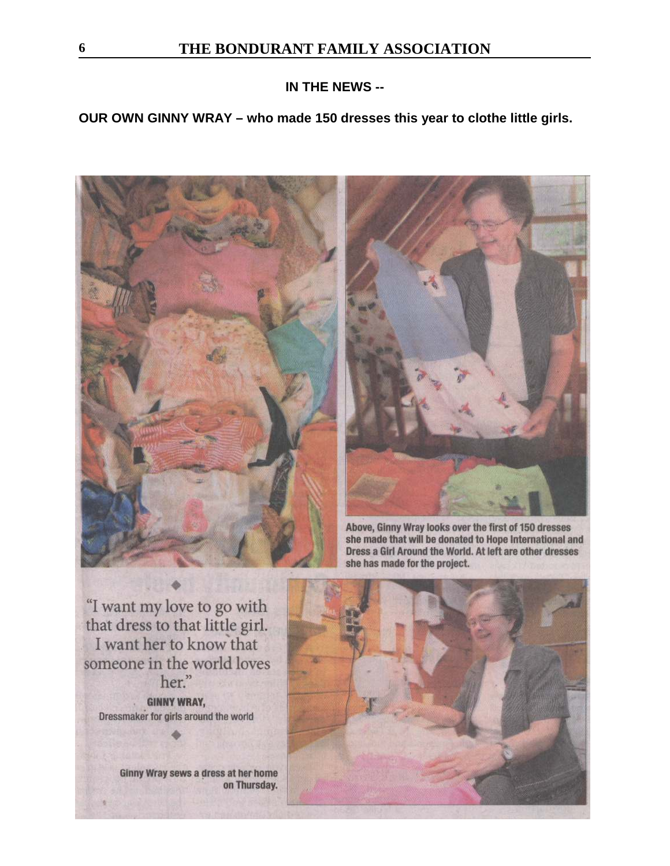### **IN THE NEWS --**

### **OUR OWN GINNY WRAY – who made 150 dresses this year to clothe little girls.**





Above, Ginny Wray looks over the first of 150 dresses she made that will be donated to Hope International and Dress a Girl Around the World. At left are other dresses she has made for the project.

"I want my love to go with that dress to that little girl. I want her to know that someone in the world loves her." **GINNY WRAY,** Dressmaker for girls around the world

> Ginny Wray sews a dress at her home on Thursday.

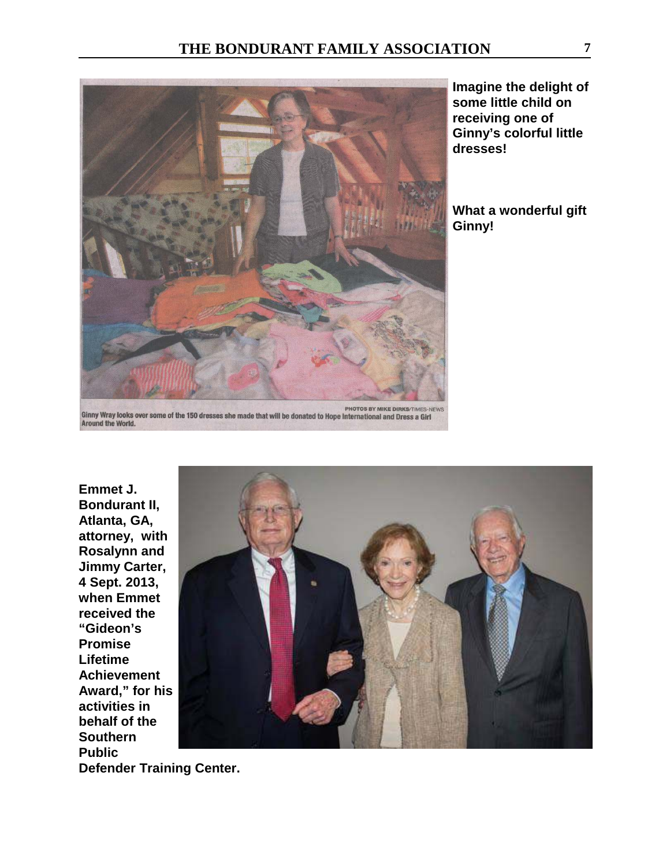

**Imagine the delight of some little child on receiving one of Ginny's colorful little dresses!**

**What a wonderful gift Ginny!**

**Ginny Wray looks over some of the 150 dresses she made that will be donated to Hope International and Dress a Girl**<br>Around the World.



**Defender Training Center.**

**Emmet J.**

**"Gideon's Promise Lifetime**

**Southern Public**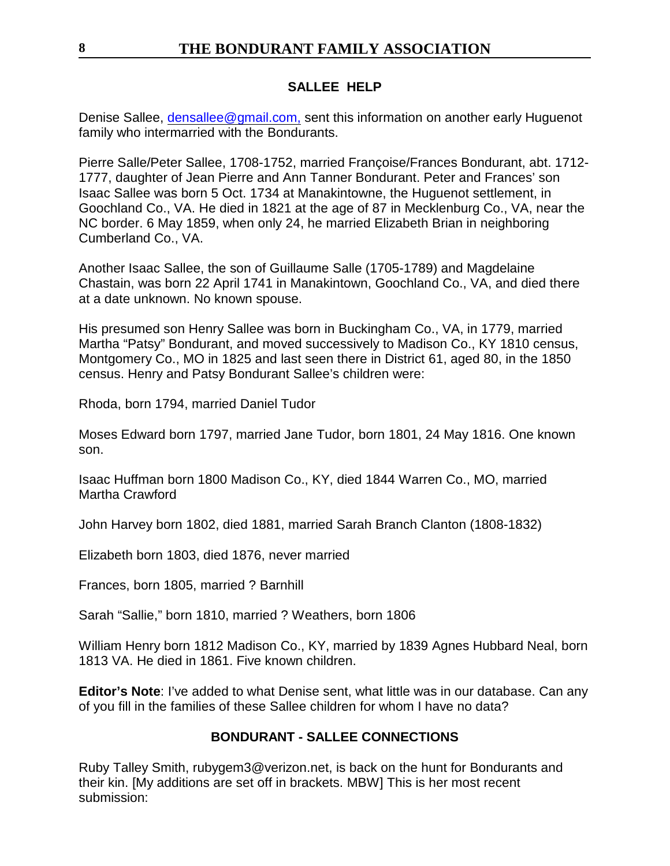### **SALLEE HELP**

Denise Sallee, [densallee@gmail.com,](mailto:densallee@gmail.com,) sent this information on another early Huguenot family who intermarried with the Bondurants.

Pierre Salle/Peter Sallee, 1708-1752, married Françoise/Frances Bondurant, abt. 1712- 1777, daughter of Jean Pierre and Ann Tanner Bondurant. Peter and Frances' son Isaac Sallee was born 5 Oct. 1734 at Manakintowne, the Huguenot settlement, in Goochland Co., VA. He died in 1821 at the age of 87 in Mecklenburg Co., VA, near the NC border. 6 May 1859, when only 24, he married Elizabeth Brian in neighboring Cumberland Co., VA.

Another Isaac Sallee, the son of Guillaume Salle (1705-1789) and Magdelaine Chastain, was born 22 April 1741 in Manakintown, Goochland Co., VA, and died there at a date unknown. No known spouse.

His presumed son Henry Sallee was born in Buckingham Co., VA, in 1779, married Martha "Patsy" Bondurant, and moved successively to Madison Co., KY 1810 census, Montgomery Co., MO in 1825 and last seen there in District 61, aged 80, in the 1850 census. Henry and Patsy Bondurant Sallee's children were:

Rhoda, born 1794, married Daniel Tudor

Moses Edward born 1797, married Jane Tudor, born 1801, 24 May 1816. One known son.

Isaac Huffman born 1800 Madison Co., KY, died 1844 Warren Co., MO, married Martha Crawford

John Harvey born 1802, died 1881, married Sarah Branch Clanton (1808-1832)

Elizabeth born 1803, died 1876, never married

Frances, born 1805, married ? Barnhill

Sarah "Sallie," born 1810, married ? Weathers, born 1806

William Henry born 1812 Madison Co., KY, married by 1839 Agnes Hubbard Neal, born 1813 VA. He died in 1861. Five known children.

**Editor's Note**: I've added to what Denise sent, what little was in our database. Can any of you fill in the families of these Sallee children for whom I have no data?

### **BONDURANT - SALLEE CONNECTIONS**

Ruby Talley Smith, rubygem3@verizon.net, is back on the hunt for Bondurants and their kin. [My additions are set off in brackets. MBW] This is her most recent submission: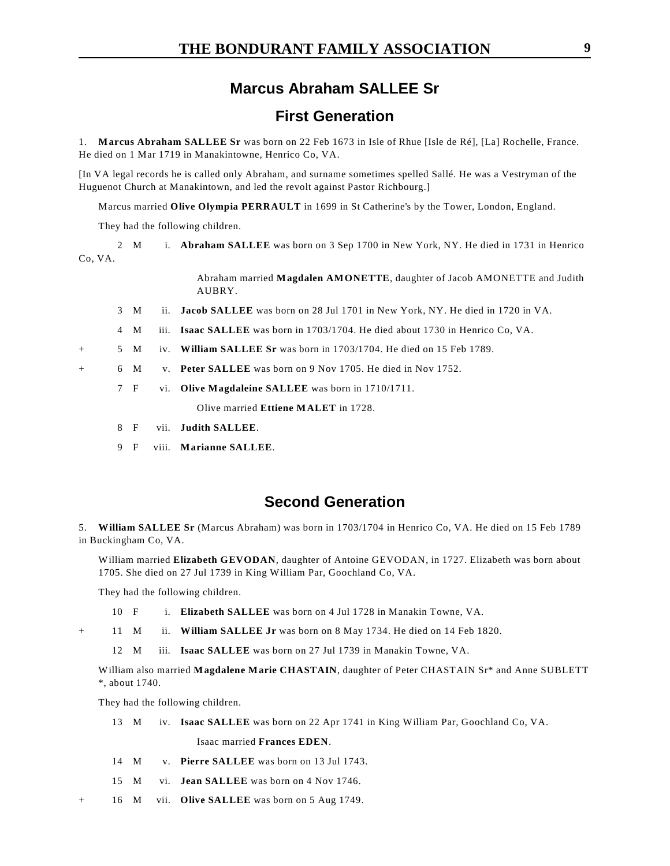### **Marcus Abraham SALLEE Sr**

### **First Generation**

1. **Marcus Abraham SALLEE Sr** was born on 22 Feb 1673 in Isle of Rhue [Isle de Ré], [La] Rochelle, France. He died on 1 Mar 1719 in Manakintowne, Henrico Co, VA.

[In VA legal records he is called only Abraham, and surname sometimes spelled Sallé. He was a Vestryman of the Huguenot Church at Manakintown, and led the revolt against Pastor Richbourg.]

Marcus married **Olive Olympia PERRAULT** in 1699 in St Catherine's by the Tower, London, England.

They had the following children.

2 M i. **Abraham SALLEE** was born on 3 Sep 1700 in New York, NY. He died in 1731 in Henrico Co, VA.

> Abraham married **Magdalen AMONETTE**, daughter of Jacob AMONETTE and Judith AUBRY.

- 3 M ii. **Jacob SALLEE** was born on 28 Jul 1701 in New York, NY. He died in 1720 in VA.
- 4 M iii. **Isaac SALLEE** was born in 1703/1704. He died about 1730 in Henrico Co, VA.
- + 5 M iv. **William SALLEE Sr** was born in 1703/1704. He died on 15 Feb 1789.
- + 6 M v. **Peter SALLEE** was born on 9 Nov 1705. He died in Nov 1752.
	- 7 F vi. **Olive Magdaleine SALLEE** was born in 1710/1711.

Olive married **Ettiene MALET** in 1728.

- 8 F vii. **Judith SALLEE**.
- 9 F viii. **Marianne SALLEE**.

### **Second Generation**

5. **William SALLEE Sr** (Marcus Abraham) was born in 1703/1704 in Henrico Co, VA. He died on 15 Feb 1789 in Buckingham Co, VA.

William married **Elizabeth GEVODAN**, daughter of Antoine GEVODAN, in 1727. Elizabeth was born about 1705. She died on 27 Jul 1739 in King William Par, Goochland Co, VA.

They had the following children.

- 10 F i. **Elizabeth SALLEE** was born on 4 Jul 1728 in Manakin Towne, VA.
- + 11 M ii. **William SALLEE Jr** was born on 8 May 1734. He died on 14 Feb 1820.

12 M iii. **Isaac SALLEE** was born on 27 Jul 1739 in Manakin Towne, VA.

William also married **Magdalene Marie CHASTAIN**, daughter of Peter CHASTAIN Sr\* and Anne SUBLETT \*, about 1740.

They had the following children.

13 M iv. **Isaac SALLEE** was born on 22 Apr 1741 in King William Par, Goochland Co, VA.

Isaac married **Frances EDEN**.

- 14 M v. **Pierre SALLEE** was born on 13 Jul 1743.
- 15 M vi. **Jean SALLEE** was born on 4 Nov 1746.
- + 16 M vii. **Olive SALLEE** was born on 5 Aug 1749.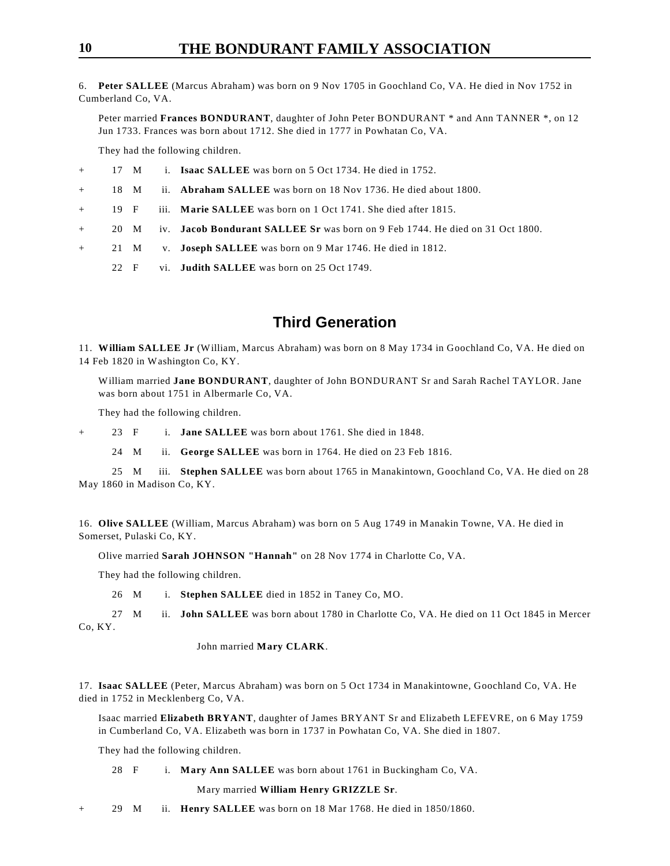6. **Peter SALLEE** (Marcus Abraham) was born on 9 Nov 1705 in Goochland Co, VA. He died in Nov 1752 in Cumberland Co, VA.

Peter married **Frances BONDURANT**, daughter of John Peter BONDURANT \* and Ann TANNER \*, on 12 Jun 1733. Frances was born about 1712. She died in 1777 in Powhatan Co, VA.

They had the following children.

|  |  | 17 M |  | i. Isaac SALLEE was born on 5 Oct 1734. He died in 1752. |
|--|--|------|--|----------------------------------------------------------|
|--|--|------|--|----------------------------------------------------------|

+ 18 M ii. **Abraham SALLEE** was born on 18 Nov 1736. He died about 1800.

+ 19 F iii. **Marie SALLEE** was born on 1 Oct 1741. She died after 1815.

- + 20 M iv. **Jacob Bondurant SALLEE Sr** was born on 9 Feb 1744. He died on 31 Oct 1800.
- + 21 M v. **Joseph SALLEE** was born on 9 Mar 1746. He died in 1812.
	- 22 F vi. **Judith SALLEE** was born on 25 Oct 1749.

### **Third Generation**

11. **William SALLEE Jr** (William, Marcus Abraham) was born on 8 May 1734 in Goochland Co, VA. He died on 14 Feb 1820 in Washington Co, KY.

William married **Jane BONDURANT**, daughter of John BONDURANT Sr and Sarah Rachel TAYLOR. Jane was born about 1751 in Albermarle Co, VA.

They had the following children.

+ 23 F i. **Jane SALLEE** was born about 1761. She died in 1848.

24 M ii. **George SALLEE** was born in 1764. He died on 23 Feb 1816.

25 M iii. **Stephen SALLEE** was born about 1765 in Manakintown, Goochland Co, VA. He died on 28 May 1860 in Madison Co, KY.

16. **Olive SALLEE** (William, Marcus Abraham) was born on 5 Aug 1749 in Manakin Towne, VA. He died in Somerset, Pulaski Co, KY.

Olive married **Sarah JOHNSON "Hannah"** on 28 Nov 1774 in Charlotte Co, VA.

They had the following children.

26 M i. **Stephen SALLEE** died in 1852 in Taney Co, MO.

27 M ii. **John SALLEE** was born about 1780 in Charlotte Co, VA. He died on 11 Oct 1845 in Mercer Co, KY.

#### John married **Mary CLARK**.

17. **Isaac SALLEE** (Peter, Marcus Abraham) was born on 5 Oct 1734 in Manakintowne, Goochland Co, VA. He died in 1752 in Mecklenberg Co, VA.

Isaac married **Elizabeth BRYANT**, daughter of James BRYANT Sr and Elizabeth LEFEVRE, on 6 May 1759 in Cumberland Co, VA. Elizabeth was born in 1737 in Powhatan Co, VA. She died in 1807.

They had the following children.

28 F i. **Mary Ann SALLEE** was born about 1761 in Buckingham Co, VA.

Mary married **William Henry GRIZZLE Sr**.

+ 29 M ii. **Henry SALLEE** was born on 18 Mar 1768. He died in 1850/1860.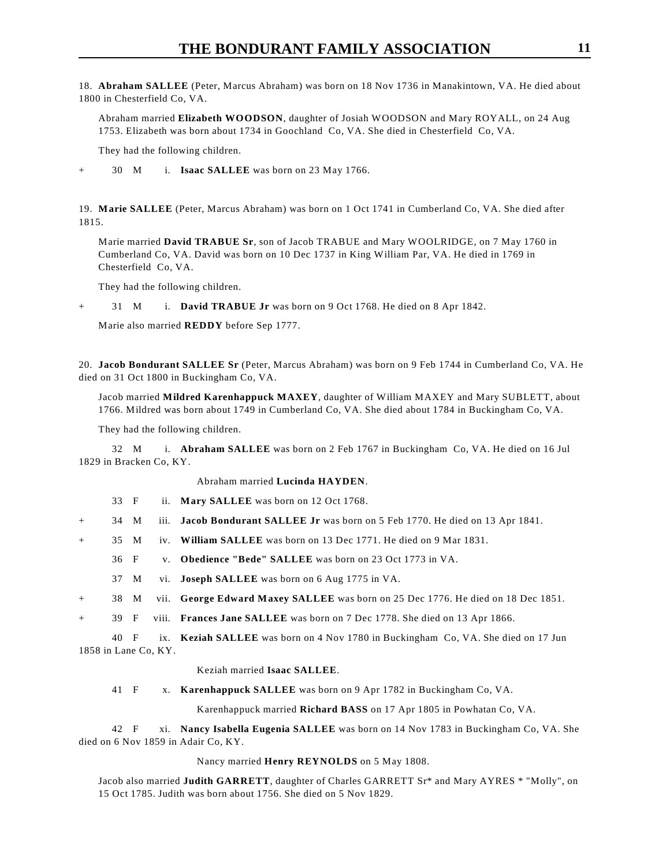18. **Abraham SALLEE** (Peter, Marcus Abraham) was born on 18 Nov 1736 in Manakintown, VA. He died about 1800 in Chesterfield Co, VA.

Abraham married **Elizabeth WOODSON**, daughter of Josiah WOODSON and Mary ROYALL, on 24 Aug 1753. Elizabeth was born about 1734 in Goochland Co, VA. She died in Chesterfield Co, VA.

They had the following children.

+ 30 M i. **Isaac SALLEE** was born on 23 May 1766.

19. **Marie SALLEE** (Peter, Marcus Abraham) was born on 1 Oct 1741 in Cumberland Co, VA. She died after 1815.

Marie married **David TRABUE Sr**, son of Jacob TRABUE and Mary WOOLRIDGE, on 7 May 1760 in Cumberland Co, VA. David was born on 10 Dec 1737 in King William Par, VA. He died in 1769 in Chesterfield Co, VA.

They had the following children.

+ 31 M i. **David TRABUE Jr** was born on 9 Oct 1768. He died on 8 Apr 1842.

Marie also married **REDDY** before Sep 1777.

20. **Jacob Bondurant SALLEE Sr** (Peter, Marcus Abraham) was born on 9 Feb 1744 in Cumberland Co, VA. He died on 31 Oct 1800 in Buckingham Co, VA.

Jacob married **Mildred Karenhappuck MAXEY**, daughter of William MAXEY and Mary SUBLETT, about 1766. Mildred was born about 1749 in Cumberland Co, VA. She died about 1784 in Buckingham Co, VA.

They had the following children.

32 M i. **Abraham SALLEE** was born on 2 Feb 1767 in Buckingham Co, VA. He died on 16 Jul 1829 in Bracken Co, KY.

Abraham married **Lucinda HAYDEN**.

- 33 F ii. **Mary SALLEE** was born on 12 Oct 1768.
- + 34 M iii. **Jacob Bondurant SALLEE Jr** was born on 5 Feb 1770. He died on 13 Apr 1841.
- + 35 M iv. **William SALLEE** was born on 13 Dec 1771. He died on 9 Mar 1831.
	- 36 F v. **Obedience "Bede" SALLEE** was born on 23 Oct 1773 in VA.
	- 37 M vi. **Joseph SALLEE** was born on 6 Aug 1775 in VA.
- + 38 M vii. **George Edward Maxey SALLEE** was born on 25 Dec 1776. He died on 18 Dec 1851.

+ 39 F viii. **Frances Jane SALLEE** was born on 7 Dec 1778. She died on 13 Apr 1866.

40 F ix. **Keziah SALLEE** was born on 4 Nov 1780 in Buckingham Co, VA. She died on 17 Jun 1858 in Lane Co, KY.

#### Keziah married **Isaac SALLEE**.

41 F x. **Karenhappuck SALLEE** was born on 9 Apr 1782 in Buckingham Co, VA.

Karenhappuck married **Richard BASS** on 17 Apr 1805 in Powhatan Co, VA.

42 F xi. **Nancy Isabella Eugenia SALLEE** was born on 14 Nov 1783 in Buckingham Co, VA. She died on 6 Nov 1859 in Adair Co, KY.

#### Nancy married **Henry REYNOLDS** on 5 May 1808.

Jacob also married **Judith GARRETT**, daughter of Charles GARRETT Sr\* and Mary AYRES \* "Molly", on 15 Oct 1785. Judith was born about 1756. She died on 5 Nov 1829.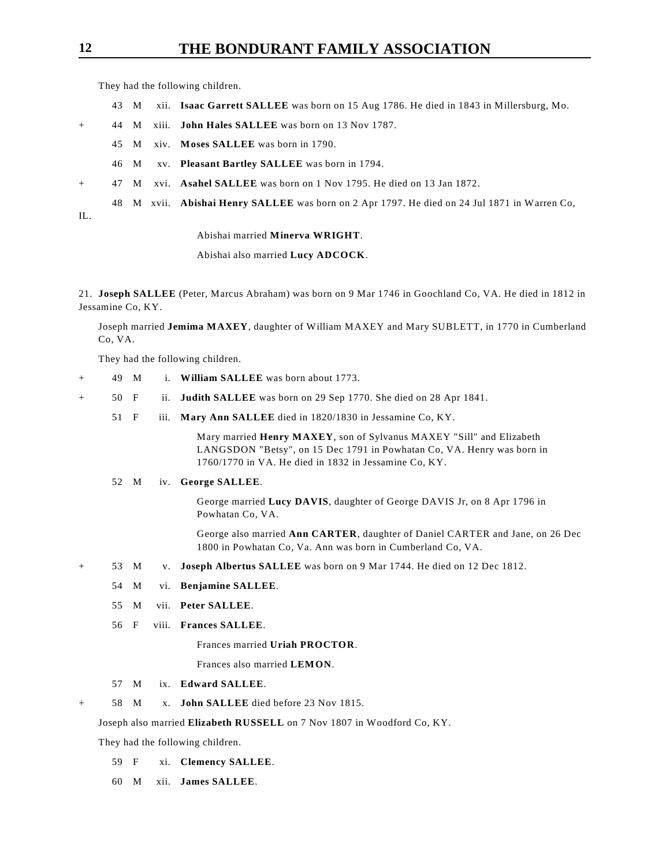They had the following children.

- 43 M xii. **Isaac Garrett SALLEE** was born on 15 Aug 1786. He died in 1843 in Millersburg, Mo.
- + 44 M xiii. **John Hales SALLEE** was born on 13 Nov 1787.
	- 45 M xiv. **Moses SALLEE** was born in 1790.
	- 46 M xv. **Pleasant Bartley SALLEE** was born in 1794.
- + 47 M xvi. **Asahel SALLEE** was born on 1 Nov 1795. He died on 13 Jan 1872.
- 48 M xvii. **Abishai Henry SALLEE** was born on 2 Apr 1797. He died on 24 Jul 1871 in Warren Co,
- IL.

Abishai married **Minerva WRIGHT**.

Abishai also married **Lucy ADCOCK**.

21. **Joseph SALLEE** (Peter, Marcus Abraham) was born on 9 Mar 1746 in Goochland Co, VA. He died in 1812 in Jessamine Co, KY.

Joseph married **Jemima MAXEY**, daughter of William MAXEY and Mary SUBLETT, in 1770 in Cumberland Co, VA.

They had the following children.

- + 49 M i. **William SALLEE** was born about 1773.
- + 50 F ii. **Judith SALLEE** was born on 29 Sep 1770. She died on 28 Apr 1841.
	- 51 F iii. **Mary Ann SALLEE** died in 1820/1830 in Jessamine Co, KY.

Mary married **Henry MAXEY**, son of Sylvanus MAXEY "Sill" and Elizabeth LANGSDON "Betsy", on 15 Dec 1791 in Powhatan Co, VA. Henry was born in 1760/1770 in VA. He died in 1832 in Jessamine Co, KY.

#### 52 M iv. **George SALLEE**.

George married **Lucy DAVIS**, daughter of George DAVIS Jr, on 8 Apr 1796 in Powhatan Co, VA.

George also married **Ann CARTER**, daughter of Daniel CARTER and Jane, on 26 Dec 1800 in Powhatan Co, Va. Ann was born in Cumberland Co, VA.

- + 53 M v. **Joseph Albertus SALLEE** was born on 9 Mar 1744. He died on 12 Dec 1812.
	- 54 M vi. **Benjamine SALLEE**.
	- 55 M vii. **Peter SALLEE**.
	- 56 F viii. **Frances SALLEE**.

Frances married **Uriah PROCTOR**.

- Frances also married **LEMON**.
- 57 M ix. **Edward SALLEE**.
- 58 M x. **John SALLEE** died before 23 Nov 1815.

Joseph also married **Elizabeth RUSSELL** on 7 Nov 1807 in Woodford Co, KY.

They had the following children.

- 59 F xi. **Clemency SALLEE**.
- 60 M xii. **James SALLEE**.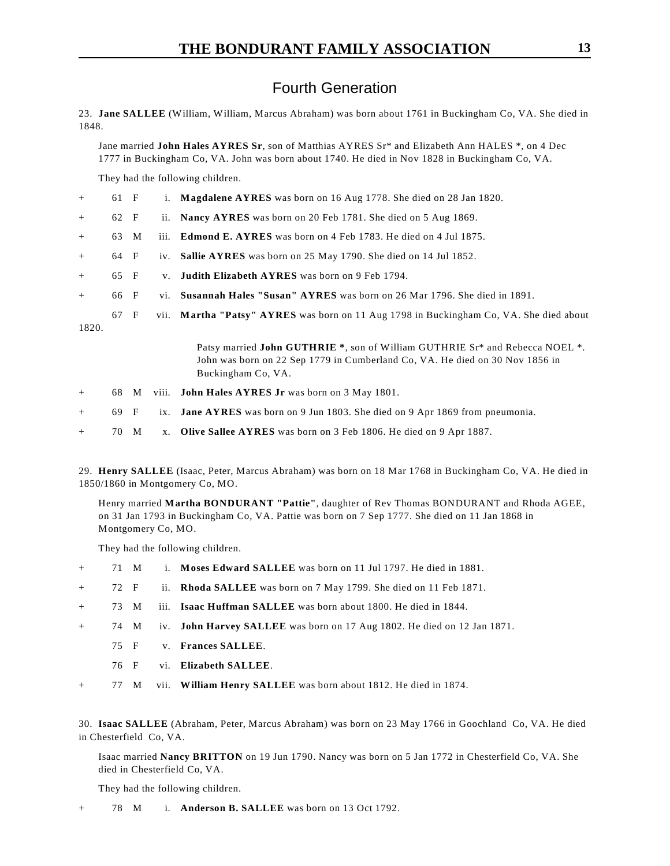### Fourth Generation

23. **Jane SALLEE** (William, William, Marcus Abraham) was born about 1761 in Buckingham Co, VA. She died in 1848.

Jane married **John Hales AYRES Sr**, son of Matthias AYRES Sr\* and Elizabeth Ann HALES \*, on 4 Dec 1777 in Buckingham Co, VA. John was born about 1740. He died in Nov 1828 in Buckingham Co, VA.

They had the following children.

| $+$    | 61 F |                             |             | i. <b>Magdalene AYRES</b> was born on 16 Aug 1778. She died on 28 Jan 1820.                                                                                                        |
|--------|------|-----------------------------|-------------|------------------------------------------------------------------------------------------------------------------------------------------------------------------------------------|
| $+$    | 62 F |                             |             | ii. Nancy AYRES was born on 20 Feb 1781. She died on 5 Aug 1869.                                                                                                                   |
| $+$    | 63 M |                             |             | iii. <b>Edmond E. AYRES</b> was born on 4 Feb 1783. He died on 4 Jul 1875.                                                                                                         |
| $+$    | 64 F |                             |             | iv. Sallie AYRES was born on 25 May 1790. She died on 14 Jul 1852.                                                                                                                 |
| $+$    | 65 F |                             | $V_{\rm A}$ | <b>Judith Elizabeth AYRES</b> was born on 9 Feb 1794.                                                                                                                              |
| $+$    | 66 F |                             |             | vi. Susannah Hales "Susan" AYRES was born on 26 Mar 1796. She died in 1891.                                                                                                        |
| 1820.  | 67 F |                             |             | vii. Martha "Patsy" AYRES was born on 11 Aug 1798 in Buckingham Co, VA. She died about                                                                                             |
|        |      |                             |             | Patsy married John GUTHRIE *, son of William GUTHRIE Sr* and Rebecca NOEL *.<br>John was born on 22 Sep 1779 in Cumberland Co, VA. He died on 30 Nov 1856 in<br>Buckingham Co, VA. |
| $^{+}$ |      | 68 M                        | V111.       | <b>John Hales AYRES Jr</b> was born on 3 May 1801.                                                                                                                                 |
|        |      | $\sim$ $\sim$ $\sim$ $\sim$ |             | $\mathbf{I}$ . The state $\mathbf{I}$ is the state of $\mathbf{I}$ is the state of $\mathbf{I}$ is the state of $\mathbf{I}$                                                       |

- + 69 F ix. **Jane AYRES** was born on 9 Jun 1803. She died on 9 Apr 1869 from pneumonia.
- + 70 M x. **Olive Sallee AYRES** was born on 3 Feb 1806. He died on 9 Apr 1887.

29. **Henry SALLEE** (Isaac, Peter, Marcus Abraham) was born on 18 Mar 1768 in Buckingham Co, VA. He died in 1850/1860 in Montgomery Co, MO.

Henry married **Martha BONDURANT "Pattie"**, daughter of Rev Thomas BONDURANT and Rhoda AGEE, on 31 Jan 1793 in Buckingham Co, VA. Pattie was born on 7 Sep 1777. She died on 11 Jan 1868 in Montgomery Co, MO.

They had the following children.

- + 71 M i. **Moses Edward SALLEE** was born on 11 Jul 1797. He died in 1881.
- + 72 F ii. **Rhoda SALLEE** was born on 7 May 1799. She died on 11 Feb 1871.
- + 73 M iii. **Isaac Huffman SALLEE** was born about 1800. He died in 1844.
- + 74 M iv. **John Harvey SALLEE** was born on 17 Aug 1802. He died on 12 Jan 1871.
	- 75 F v. **Frances SALLEE**.
	- 76 F vi. **Elizabeth SALLEE**.
- + 77 M vii. **William Henry SALLEE** was born about 1812. He died in 1874.

30. **Isaac SALLEE** (Abraham, Peter, Marcus Abraham) was born on 23 May 1766 in Goochland Co, VA. He died in Chesterfield Co, VA.

Isaac married **Nancy BRITTON** on 19 Jun 1790. Nancy was born on 5 Jan 1772 in Chesterfield Co, VA. She died in Chesterfield Co, VA.

They had the following children.

+ 78 M i. **Anderson B. SALLEE** was born on 13 Oct 1792.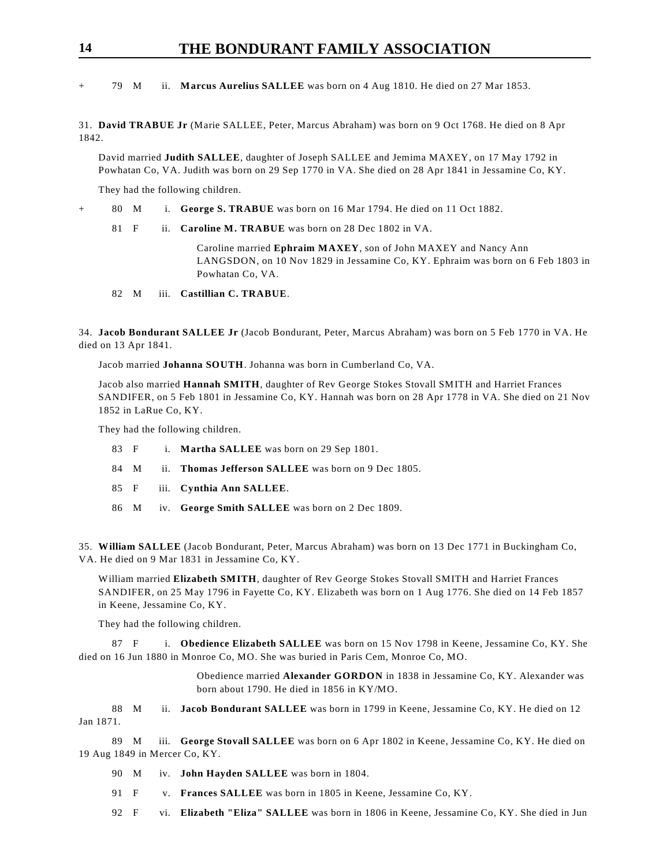### **14 THE BONDURANT FAMILY ASSOCIATION**

+ 79 M ii. **Marcus Aurelius SALLEE** was born on 4 Aug 1810. He died on 27 Mar 1853.

31. **David TRABUE Jr** (Marie SALLEE, Peter, Marcus Abraham) was born on 9 Oct 1768. He died on 8 Apr 1842.

David married **Judith SALLEE**, daughter of Joseph SALLEE and Jemima MAXEY, on 17 May 1792 in Powhatan Co, VA. Judith was born on 29 Sep 1770 in VA. She died on 28 Apr 1841 in Jessamine Co, KY.

They had the following children.

+ 80 M i. **George S. TRABUE** was born on 16 Mar 1794. He died on 11 Oct 1882.

81 F ii. **Caroline M. TRABUE** was born on 28 Dec 1802 in VA.

Caroline married **Ephraim MAXEY**, son of John MAXEY and Nancy Ann LANGSDON, on 10 Nov 1829 in Jessamine Co, KY. Ephraim was born on 6 Feb 1803 in Powhatan Co, VA.

82 M iii. **Castillian C. TRABUE**.

34. **Jacob Bondurant SALLEE Jr** (Jacob Bondurant, Peter, Marcus Abraham) was born on 5 Feb 1770 in VA. He died on 13 Apr 1841.

Jacob married **Johanna SOUTH**. Johanna was born in Cumberland Co, VA.

Jacob also married **Hannah SMITH**, daughter of Rev George Stokes Stovall SMITH and Harriet Frances SANDIFER, on 5 Feb 1801 in Jessamine Co, KY. Hannah was born on 28 Apr 1778 in VA. She died on 21 Nov 1852 in LaRue Co, KY.

They had the following children.

|  | 83 F i. Martha SALLEE was born on 29 Sep 1801.           |
|--|----------------------------------------------------------|
|  | 84 M ii. Thomas Jefferson SALLEE was born on 9 Dec 1805. |
|  | 85 F iii. Cynthia Ann SALLEE.                            |

86 M iv. **George Smith SALLEE** was born on 2 Dec 1809.

35. **William SALLEE** (Jacob Bondurant, Peter, Marcus Abraham) was born on 13 Dec 1771 in Buckingham Co, VA. He died on 9 Mar 1831 in Jessamine Co, KY.

William married **Elizabeth SMITH**, daughter of Rev George Stokes Stovall SMITH and Harriet Frances SANDIFER, on 25 May 1796 in Fayette Co, KY. Elizabeth was born on 1 Aug 1776. She died on 14 Feb 1857 in Keene, Jessamine Co, KY.

They had the following children.

87 F i. **Obedience Elizabeth SALLEE** was born on 15 Nov 1798 in Keene, Jessamine Co, KY. She died on 16 Jun 1880 in Monroe Co, MO. She was buried in Paris Cem, Monroe Co, MO.

> Obedience married **Alexander GORDON** in 1838 in Jessamine Co, KY. Alexander was born about 1790. He died in 1856 in KY/MO.

88 M ii. **Jacob Bondurant SALLEE** was born in 1799 in Keene, Jessamine Co, KY. He died on 12 Jan 1871.

89 M iii. **George Stovall SALLEE** was born on 6 Apr 1802 in Keene, Jessamine Co, KY. He died on 19 Aug 1849 in Mercer Co, KY.

- 90 M iv. **John Hayden SALLEE** was born in 1804.
- 91 F v. **Frances SALLEE** was born in 1805 in Keene, Jessamine Co, KY.
- 92 F vi. **Elizabeth "Eliza" SALLEE** was born in 1806 in Keene, Jessamine Co, KY. She died in Jun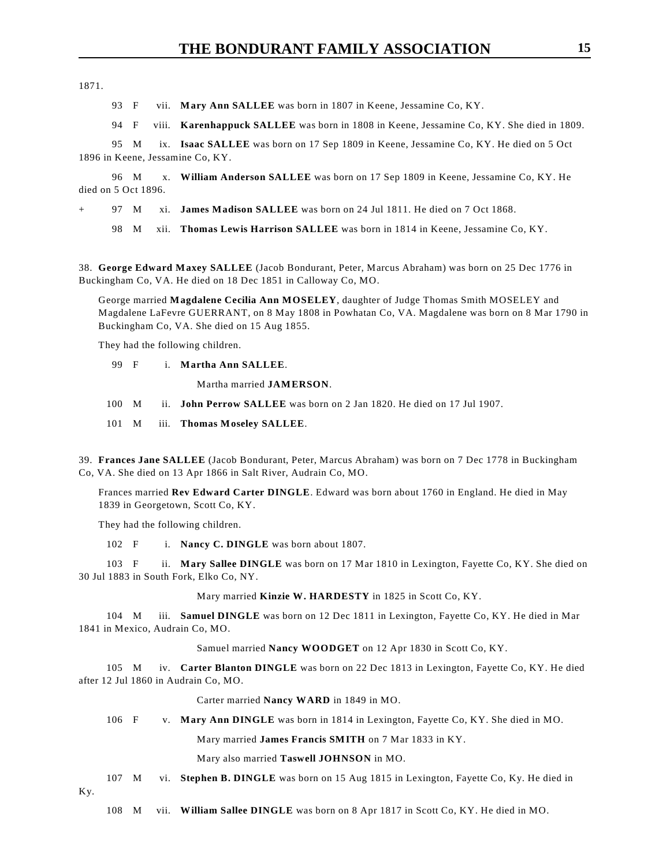1871.

93 F vii. **Mary Ann SALLEE** was born in 1807 in Keene, Jessamine Co, KY.

94 F viii. **Karenhappuck SALLEE** was born in 1808 in Keene, Jessamine Co, KY. She died in 1809.

95 M ix. **Isaac SALLEE** was born on 17 Sep 1809 in Keene, Jessamine Co, KY. He died on 5 Oct 1896 in Keene, Jessamine Co, KY.

96 M x. **William Anderson SALLEE** was born on 17 Sep 1809 in Keene, Jessamine Co, KY. He died on 5 Oct 1896.

97 M xi. **James Madison SALLEE** was born on 24 Jul 1811. He died on 7 Oct 1868.

98 M xii. **Thomas Lewis Harrison SALLEE** was born in 1814 in Keene, Jessamine Co, KY.

38. **George Edward Maxey SALLEE** (Jacob Bondurant, Peter, Marcus Abraham) was born on 25 Dec 1776 in Buckingham Co, VA. He died on 18 Dec 1851 in Calloway Co, MO.

George married **Magdalene Cecilia Ann MOSELEY**, daughter of Judge Thomas Smith MOSELEY and Magdalene LaFevre GUERRANT, on 8 May 1808 in Powhatan Co, VA. Magdalene was born on 8 Mar 1790 in Buckingham Co, VA. She died on 15 Aug 1855.

They had the following children.

99 F i. **Martha Ann SALLEE**.

Martha married **JAMERSON**.

- 100 M ii. **John Perrow SALLEE** was born on 2 Jan 1820. He died on 17 Jul 1907.
- 101 M iii. **Thomas Moseley SALLEE**.

39. **Frances Jane SALLEE** (Jacob Bondurant, Peter, Marcus Abraham) was born on 7 Dec 1778 in Buckingham Co, VA. She died on 13 Apr 1866 in Salt River, Audrain Co, MO.

Frances married **Rev Edward Carter DINGLE**. Edward was born about 1760 in England. He died in May 1839 in Georgetown, Scott Co, KY.

They had the following children.

102 F i. **Nancy C. DINGLE** was born about 1807.

103 F ii. **Mary Sallee DINGLE** was born on 17 Mar 1810 in Lexington, Fayette Co, KY. She died on 30 Jul 1883 in South Fork, Elko Co, NY.

Mary married **Kinzie W. HARDESTY** in 1825 in Scott Co, KY.

104 M iii. **Samuel DINGLE** was born on 12 Dec 1811 in Lexington, Fayette Co, KY. He died in Mar 1841 in Mexico, Audrain Co, MO.

Samuel married **Nancy WOODGET** on 12 Apr 1830 in Scott Co, KY.

105 M iv. **Carter Blanton DINGLE** was born on 22 Dec 1813 in Lexington, Fayette Co, KY. He died after 12 Jul 1860 in Audrain Co, MO.

Carter married **Nancy WARD** in 1849 in MO.

106 F v. **Mary Ann DINGLE** was born in 1814 in Lexington, Fayette Co, KY. She died in MO.

Mary married **James Francis SMITH** on 7 Mar 1833 in KY.

Mary also married **Taswell JOHNSON** in MO.

107 M vi. **Stephen B. DINGLE** was born on 15 Aug 1815 in Lexington, Fayette Co, Ky. He died in

Ky.

108 M vii. **William Sallee DINGLE** was born on 8 Apr 1817 in Scott Co, KY. He died in MO.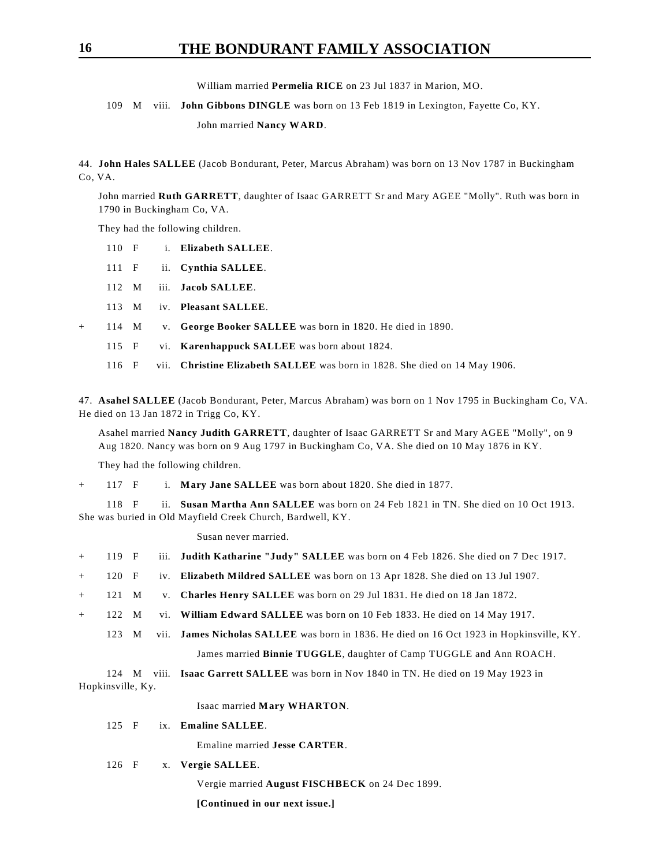William married **Permelia RICE** on 23 Jul 1837 in Marion, MO.

### 109 M viii. **John Gibbons DINGLE** was born on 13 Feb 1819 in Lexington, Fayette Co, KY.

John married **Nancy WARD**.

44. **John Hales SALLEE** (Jacob Bondurant, Peter, Marcus Abraham) was born on 13 Nov 1787 in Buckingham Co, VA.

John married **Ruth GARRETT**, daughter of Isaac GARRETT Sr and Mary AGEE "Molly". Ruth was born in 1790 in Buckingham Co, VA.

They had the following children.

| $110$ F | i. Elizabeth SALLEE. |  |
|---------|----------------------|--|
|         |                      |  |

111 F ii. **Cynthia SALLEE**.

- 112 M iii. **Jacob SALLEE**.
- 113 M iv. **Pleasant SALLEE**.
- + 114 M v. **George Booker SALLEE** was born in 1820. He died in 1890.
	- 115 F vi. **Karenhappuck SALLEE** was born about 1824.
	- 116 F vii. **Christine Elizabeth SALLEE** was born in 1828. She died on 14 May 1906.

47. **Asahel SALLEE** (Jacob Bondurant, Peter, Marcus Abraham) was born on 1 Nov 1795 in Buckingham Co, VA. He died on 13 Jan 1872 in Trigg Co, KY.

Asahel married **Nancy Judith GARRETT**, daughter of Isaac GARRETT Sr and Mary AGEE "Molly", on 9 Aug 1820. Nancy was born on 9 Aug 1797 in Buckingham Co, VA. She died on 10 May 1876 in KY.

They had the following children.

+ 117 F i. **Mary Jane SALLEE** was born about 1820. She died in 1877.

118 F ii. **Susan Martha Ann SALLEE** was born on 24 Feb 1821 in TN. She died on 10 Oct 1913. She was buried in Old Mayfield Creek Church, Bardwell, KY.

Susan never married.

- + 119 F iii. **Judith Katharine "Judy" SALLEE** was born on 4 Feb 1826. She died on 7 Dec 1917.
- + 120 F iv. **Elizabeth Mildred SALLEE** was born on 13 Apr 1828. She died on 13 Jul 1907.
- + 121 M v. **Charles Henry SALLEE** was born on 29 Jul 1831. He died on 18 Jan 1872.
- + 122 M vi. **William Edward SALLEE** was born on 10 Feb 1833. He died on 14 May 1917.
	- 123 M vii. **James Nicholas SALLEE** was born in 1836. He died on 16 Oct 1923 in Hopkinsville, KY.

James married **Binnie TUGGLE**, daughter of Camp TUGGLE and Ann ROACH.

124 M viii. **Isaac Garrett SALLEE** was born in Nov 1840 in TN. He died on 19 May 1923 in Hopkinsville, Ky.

Isaac married **Mary WHARTON**.

125 F ix. **Emaline SALLEE**.

Emaline married **Jesse CARTER**.

126 F x. **Vergie SALLEE**.

Vergie married **August FISCHBECK** on 24 Dec 1899.

**[Continued in our next issue.]**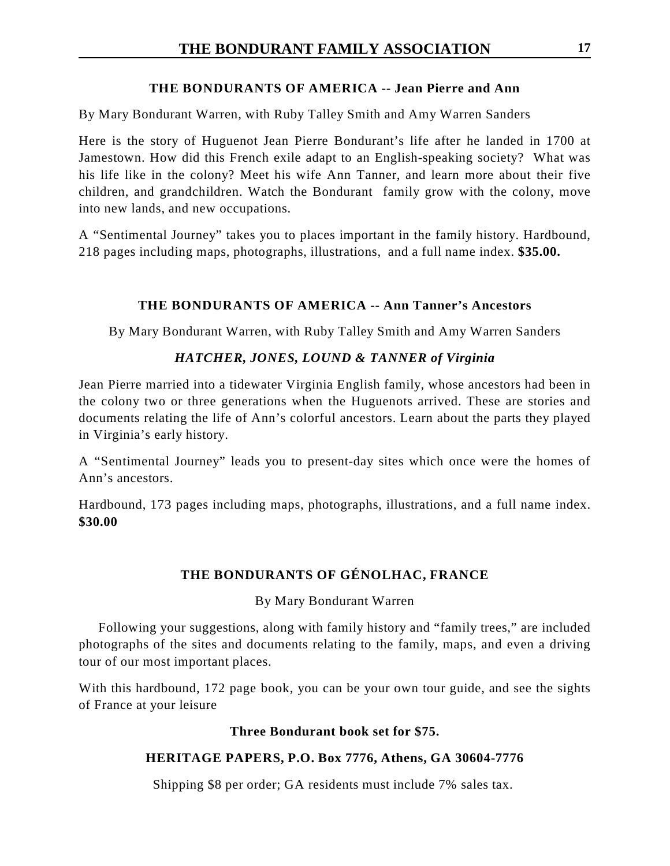### **THE BONDURANTS OF AMERICA -- Jean Pierre and Ann**

By Mary Bondurant Warren, with Ruby Talley Smith and Amy Warren Sanders

Here is the story of Huguenot Jean Pierre Bondurant's life after he landed in 1700 at Jamestown. How did this French exile adapt to an English-speaking society? What was his life like in the colony? Meet his wife Ann Tanner, and learn more about their five children, and grandchildren. Watch the Bondurant family grow with the colony, move into new lands, and new occupations.

A "Sentimental Journey" takes you to places important in the family history. Hardbound, 218 pages including maps, photographs, illustrations, and a full name index. **\$35.00.** 

### **THE BONDURANTS OF AMERICA -- Ann Tanner's Ancestors**

By Mary Bondurant Warren, with Ruby Talley Smith and Amy Warren Sanders

### *HATCHER, JONES, LOUND & TANNER of Virginia*

Jean Pierre married into a tidewater Virginia English family, whose ancestors had been in the colony two or three generations when the Huguenots arrived. These are stories and documents relating the life of Ann's colorful ancestors. Learn about the parts they played in Virginia's early history.

A "Sentimental Journey" leads you to present-day sites which once were the homes of Ann's ancestors.

Hardbound, 173 pages including maps, photographs, illustrations, and a full name index. **\$30.00**

### **THE BONDURANTS OF GÉNOLHAC, FRANCE**

### By Mary Bondurant Warren

Following your suggestions, along with family history and "family trees," are included photographs of the sites and documents relating to the family, maps, and even a driving tour of our most important places.

With this hardbound, 172 page book, you can be your own tour guide, and see the sights of France at your leisure

### **Three Bondurant book set for \$75.**

### **HERITAGE PAPERS, P.O. Box 7776, Athens, GA 30604-7776**

Shipping \$8 per order; GA residents must include 7% sales tax.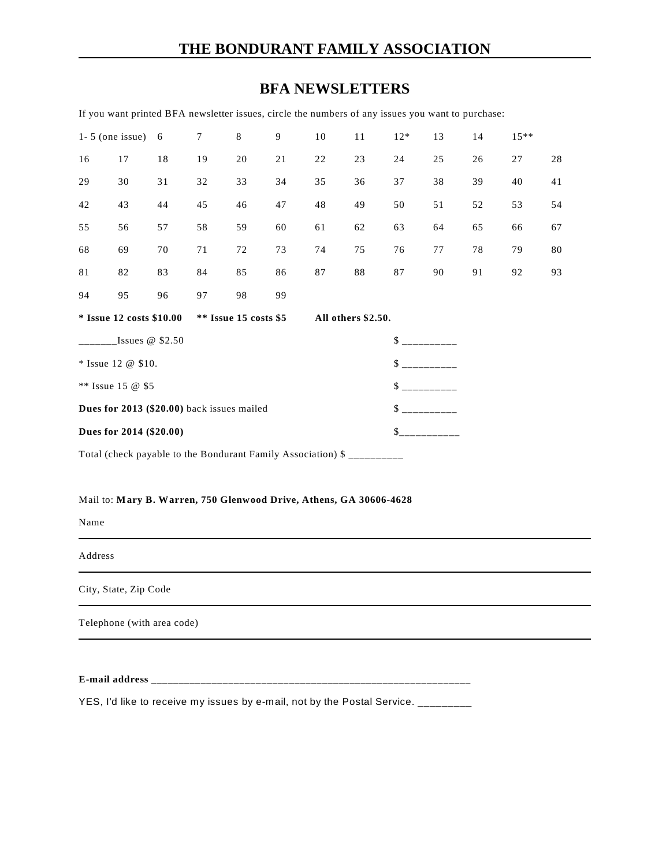### **THE BONDURANT FAMILY ASSOCIATION**

### **BFA NEWSLETTERS**

If you want printed BFA newsletter issues, circle the numbers of any issues you want to purchase:

| $1 - 5$ (one issue)                                          |    | 6  | 7  | 8  | 9  | 10                 | 11 | $12*$ | 13 | 14 | $15***$ |    |
|--------------------------------------------------------------|----|----|----|----|----|--------------------|----|-------|----|----|---------|----|
| 16                                                           | 17 | 18 | 19 | 20 | 21 | 22                 | 23 | 24    | 25 | 26 | 27      | 28 |
| 29                                                           | 30 | 31 | 32 | 33 | 34 | 35                 | 36 | 37    | 38 | 39 | 40      | 41 |
| 42                                                           | 43 | 44 | 45 | 46 | 47 | 48                 | 49 | 50    | 51 | 52 | 53      | 54 |
| 55                                                           | 56 | 57 | 58 | 59 | 60 | 61                 | 62 | 63    | 64 | 65 | 66      | 67 |
| 68                                                           | 69 | 70 | 71 | 72 | 73 | 74                 | 75 | 76    | 77 | 78 | 79      | 80 |
| 81                                                           | 82 | 83 | 84 | 85 | 86 | 87                 | 88 | 87    | 90 | 91 | 92      | 93 |
| 94                                                           | 95 | 96 | 97 | 98 | 99 |                    |    |       |    |    |         |    |
| * Issue 12 costs \$10.00<br>** Issue 15 costs \$5            |    |    |    |    |    | All others \$2.50. |    |       |    |    |         |    |
| $Issues \& $ \$2.50                                          |    |    |    |    |    |                    |    | \$    |    |    |         |    |
| * Issue 12 @ \$10.                                           |    |    |    |    |    |                    |    | \$    |    |    |         |    |
| ** Issue 15 $@$ \$5                                          |    |    |    |    |    |                    |    | \$    |    |    |         |    |
| Dues for 2013 (\$20.00) back issues mailed                   |    |    |    |    |    |                    |    | \$    |    |    |         |    |
| Dues for 2014 (\$20.00)                                      |    |    |    |    |    |                    | \$ |       |    |    |         |    |
| Total (check payable to the Bondurant Family Association) \$ |    |    |    |    |    |                    |    |       |    |    |         |    |

#### Mail to: **Mary B. Warren, 750 Glenwood Drive, Athens, GA 30606-4628**

Name

Address

City, State, Zip Code

Telephone (with area code)

**E-mail address** \_\_\_\_\_\_\_\_\_\_\_\_\_\_\_\_\_\_\_\_\_\_\_\_\_\_\_\_\_\_\_\_\_\_\_\_\_\_\_\_\_\_\_\_\_\_\_\_\_\_\_\_\_\_\_\_\_\_

YES, I'd like to receive my issues by e-mail, not by the Postal Service. \_\_\_\_\_\_\_\_